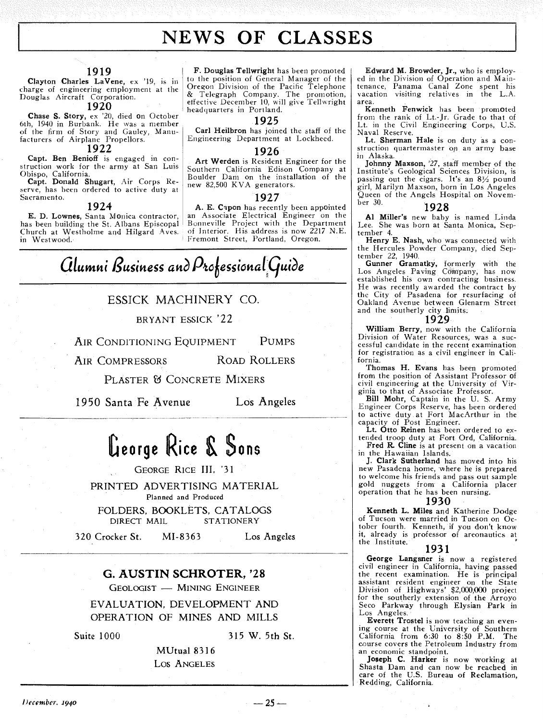### **NEWS OF CLASSES**

#### **1919**

Clayton Charles LaVene, ex '19, is in charge of engineering employment at the Douglas Aircraft Corporation.

#### **1920**

Chase S. Story, ex '20, died on October 6th, 1940 in Burbank. He was a member of the firm of Story and Gauley, Manufacturers of Airplane Propellors.

### **1922**

Capt. Ben Benioff is engaged in construction work for the army at San Luis Obispo, California.

Capt. Donald Shugart, Air Corps Reserve, has been ordered to active duty at Sacramento.

#### **1924**

E. D. Lownes, Santa Monica contractor, has been building the St. Albans Episcopal Church at Westholme and Hilgard Aves. in Westwood.

F. Douglas Tellwright has been promoted to the position of General Manager of the Oregon Division of the Pacific Telephone & Telegraph Company. The promotion, effective December 10, will give Tellwright headquarters in Portland.

#### **1925**

Carl Heilbron has joined the staff of the Engineering Department at Lockheed.

#### **1926**

Art Werden is Resident Engineer for the Southern California Edison Company at Boulder Dan1 on the installation of the new 82,500 KVA generators.

#### **1927**

A. E. Capon has recently been appointed an Associate Electrical Engineer on the Bonneville Project with the Department of Interior. His address is now 2217 N.E. Fremont Street, Portland, Oregon.

## **Glumni Business and Professional Guide**

#### ESSICK MACHINERY CO.

BRYANT ESSICK '22

AIR CONDITIONING EQUIPMENT PUMPS

AIR COMPRESSORS ROAD ROLLERS

PLASTER & CONCRETE MIXERS

1950 Santa Fe Avenue Los Angeles

**George Rice** \$ **\$ow** 

GEORGE RICE III, '31

PRINTED ADVERTISING MATERIAL Planned and Produced FOLDERS, BOOKLETS, CATALOGS

DIRECT MAIL STATIONERY

320 Crocker St. MI-8363 Los Angeles

### **G. AUSTIN SCHROTER, '28 GEOLOGIST - MINING ENGINEER**<br>GEOLOGIST - MINING ENGINEER

EVALUATION, DEVELOPMENT AND OPERATION OF MINES AND MILLS

Suite 1000 315 W. 5th St.

MUtual 8316 Los ANGELES

Edward M. Browder, Jr., who is employed in the Division of Operation and Maintenance, Panama Canal Zone spent his vacation visiting relatives in the L.A area

Kenneth Fenwick has been promoted from the rank of Lt.-Jr. Grade to that of Lt. in the Civil Engineering Corps, U.S. Naval Reserve.

Lt. Sherman Hale is on duty as a construction quartermaster op an army base in Alaska.

Johnny Maxson, '27, staff member of the Institute's Geological Sciences Division, is passine out the cigars. It's an **8%** pound girl, Marilyn Maxson, born in Los Angeles Queen of the Angels Hospital on November 30.

#### 1928

**41** Miller's new baby is named Linda Lee. She was born at Santa Monica, September 4.

Henry E. Nash, who was connected with the Hercules Powder Company, died September 22, 1940.

Gunner Gramatky, formerly with the Lob Angeles Paving Company, has now established his own contracting business. He was recently awarded the contract by the City of Pasadena for resurfacing of Oakland Avenue between Glenarm Street and the southerly city limits.

#### **1929**

William Berry, now with the California<br>Division of Water Resources, was a successful candidate in the recent examination for registration as a civil engineer in California.

Thomas H. Evans has been promoted from the position of Assistant Professor of civil engineering at the University of Virginia to that of Associate Professor.

Bill Mohr, Captain in the U. S. Army Engineer Corps Reserve, has been ordered to active duty at Fort MacArthur in the capacity of Post Engineer.

Lt. Otto Reinen has been ordered to ex-<br>tended troop duty at Fort Ord, California.

Fred R. Cline is at present on a vacation

in the Hawaiian Islands. J. Clark Sutherland has moved into his new Pasadena home, where he is prepared to welcome his friends and pass out sample gold nuggets from a California placer operation that he has been nursing.

#### **1930**

Kenneth L. Miles and Katherine Dodge of Tucson were married in Tucson on October fourth. Kenneth, if you don't know it, already is professor of areonautics at the Institute.

#### **193 1**

George Langsner is now a registered civil engineer in California, having passed the recent examination. He is principal assistant resident engineer on the State Division of Highways' \$2,000,000 project for the southerly extension of the Arroyo Seco Parkway through Elysian Park in Los Angeles.

Everett Trostel is now teaching an even- ing course at the University of Southern California from **6:30 to 8:50 P.M.** The course covers the Petroleum Industry from an economic standpoint. an economic standpoint.<br>Joseph C. Harker is now working at

Shasta Dam and can now be reached in care of the U.S. Bureau of Reclamation, Redding, California.

 $-25-$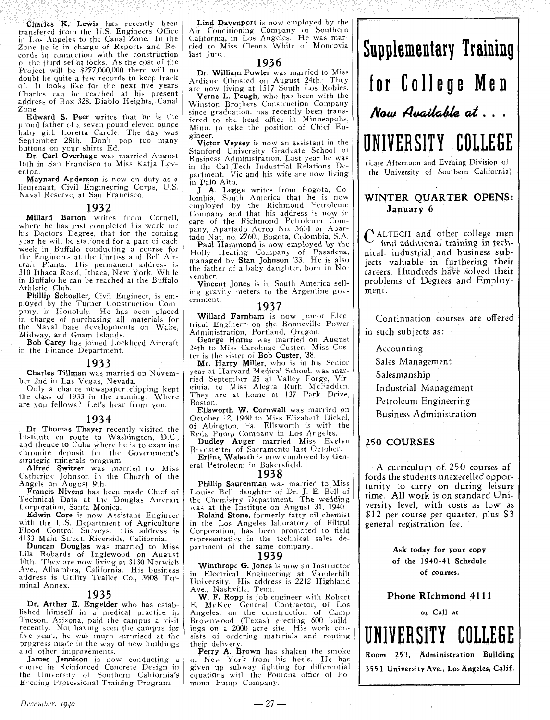Charles K. Lewis has recently been transfered from the U.S. Engineers Office in Los Angeles to the Canal Zone. In the Zone he is in charge of Reports and Records in connection with the construction of the third set of locks. As the cost of the Project will be \$277,000,000 there will no doubt be quite a few records to keep track of. It looks like for the next five years Charles can be reached at his present address of Box 328, Diablo Heights,, Canal Zone

**Edward S. Peer** writes that he is the proud father of a seven pound eleven ounce proud father of a seven pound eleven ounce<br>baby girl, Loretta Carole. The day was September 28th. Don't pop too many

buttons on your shirts Ed. Dr. Carl Overhage was married August 16th in San Francisco to Miss Katja Leventon

Maynard Anderson is now on duty as a lieutenant, Civil Engineering Corps, U.S. Naval Reserve, at San Francisco.

#### 1932

Millard Barton writes from Cornell, where he has just completed his work for his Doctors Degree, that for the coming year he will be stationed for a part of each week in Buffalo conducting a course for the Engineers at the Curtiss and Bell Aircraft Plants. His permanent address is 310 Ithaca Road, Ithaca, New York. While in Buffalo he can he reached at the Buffalo Athletic Club

Phillip Schoeller, Civil Engineer, is employed by the Turner Construction Company, in Honolulu. He has been placed in charge of purchasing all materials for the Naval base developments on Wake, Midway, and Guam Islands

Bob Carey has joined Lockheed Aircraft in the Finance Department.

#### 1933

Charles Tillman was married on November 2nd in Las Vegas, Nevada.

Only a chance newspaper clipping kept the class of 1933 in the running. Where are you fellows? Let's hear from you.

#### 1934

Dr. Thomas Thayer recently visited the Institute en route to Washington, D.C., and thence to Cuba where he is to examine chromite deposit for the Government's strategic minerals program

Alfred Switzer was married to Miss Catherine Johnson in the Church of the Angels on August 9th.<br>Francis Nivens has been made Chief of

Technical Data at the Douglas Aircraft Corporation, Santa Monica.

Edwin Core is now Assistant Engineer with the U.S. Department of Agriculture Flood Control Surveys. His address is 4133 Main Street, Riverside, California

Duncan Douglas was married to Miss Lila Robards of Inglewood on August 10th. They are now living at 3130 Norwich Ave., Alhambra, California. His business address is Utility Trailer Co, 3608 Terminal Annex.

#### 1935

Dr. Arther E. Engelder who has established himself in a medical practice in Tucson, Arizona, paid the campus a visit recently. Not having seen the campus for five years, he was much surprised at the progress made in the way of new buildings and other improvements.

James Jennison is now conducting a course in Reinforced Concrete Design in the University of Southern California's Evening Professional Training Program.

Lind Davenport is now employed by the Air Conditioning Company of Southern California, in Los Angeles. He was married to Miss Cleona White of Monrovia last *June*.

#### 1936

Dr. William Fowler was married to Miss<br>Ardiane Olmsted on August 24th. They

are now living at 1517 South Los Robles. Verne L. Peugh, who has been with the Winston Brothers Construction Company since graduation, has recently been transfered to the head office in Minneapolis, Minn. to take the position of Chief Engineer.

Victor Veysey is now an assistant in the Stanford University Graduate School of<br>Business Administration. Last year he was in the Cal Tech Industrial Relations Department. Vic and his wife are now living in Pa10 Alto.

J. A. Legge writes from Bogota, Colombia, South America that he is now employed by the Richmond Petroleum Company and that his address is now in care of the Richmond Petroleum Company, Apartado Aereo No 3631 or Apar-

tado Nat. no. 2760., Bogota, Colombia, S.A.<br>**Paul Hammond** is now employed by the Holly Heating Company of Pasadena, managed by Stan Johnson '33 He is also the father of a baby daughter, born in November.

Vincent Jones is in South America selling gravity meters to the Argentine government.

#### **1937**

Willard Farnham is now Junior Electrical Engineer on the Bonneville Power Administration, Portland, Oregon

George Horne was married on August 24th to Miss Carolmae Custer Miss CUSter is the sister of Bob Custer, '38.

Mr. Harry Miller, who is in his Senior year at Harvard Medical School. was married September *25* at Valley Forge, Virginia, to Miss Alegra Ruth McFadden They are at home at 137 Park Drive, Boston.

Ellsworth W. Cornwall was married on October 12, 1940 to Miss Elizabeth Dickel, of Abington, Pa. Ellsworth is with the Reda Pump Company in Los Angeles.

Dudley Auger married Miss Evelyn Branstetter of Sacramento last October Erling Walseth is now employed by Gen-

eral Petroleum in Bakersfield.

#### 1938

Phillip Saurenman was married to Miss Louise Bell, daughter of Dr. J E. Bell of was at the Institute on August 31, 1940.

Roland Stone, formerly fatty oil chemist in the Los Angeles laboratory of Filtrol Corporation, has been promoted to field representative in the technical sales department of the same company.

#### 1939

Winthrope G. Jones is now an Instructor in Electrical Engineering at Vanderbili University. His address is 2212 Highland Ave , Nashville, Tenn.

W. **F.** Ropp is job engineer with Robert E. McKee, General Contractor, of Los Angeles, on the construction of Camp Brownwood (Texas) erecting 600 buildings on a 2000 acre site. His work consists of ordering materials and routing their delivery.

Perry A. Brown has shaken the smoke of New York from his heel5 He has given up subway fighting for differential equations with the Pomona office of Pomona Pump Company.

## Supplementary Training for **College Men**  Now Available at ...

UNIVERSITY COLLEGE

(Late Afternoon and Evening Division of the University of Southern California)

#### WINTER QUARTER OPENS: January 6

ALTECH and other college men ' find additional training in technical, industrial and business subjects valuable in furthering their careers. Hundreds have solved their problems of Degrees and Employment.

Continuation courses are offered in such subjects as:

Accounting

Sales Management

Salesmanship

Industrial Management

Petroleum Engineering

Business Administration

#### 250 COURSES

A curriculum of 250 courses affords the students unexecelled opportunity to carry on during leisure time. All work is on standard University level, with costs as low as \$1 2 per course per quarter, plus *\$3*  general registration fee.

> **Ask** today for your copy of the 1940-41 Schedule of courses.

Phone Richmond 41 11

#### or Call at

UNIVERSITY COLLEGE

**Room** 253, Administration Building 355 1 University Ave., Los Angeles, Calif.

 $-27-$